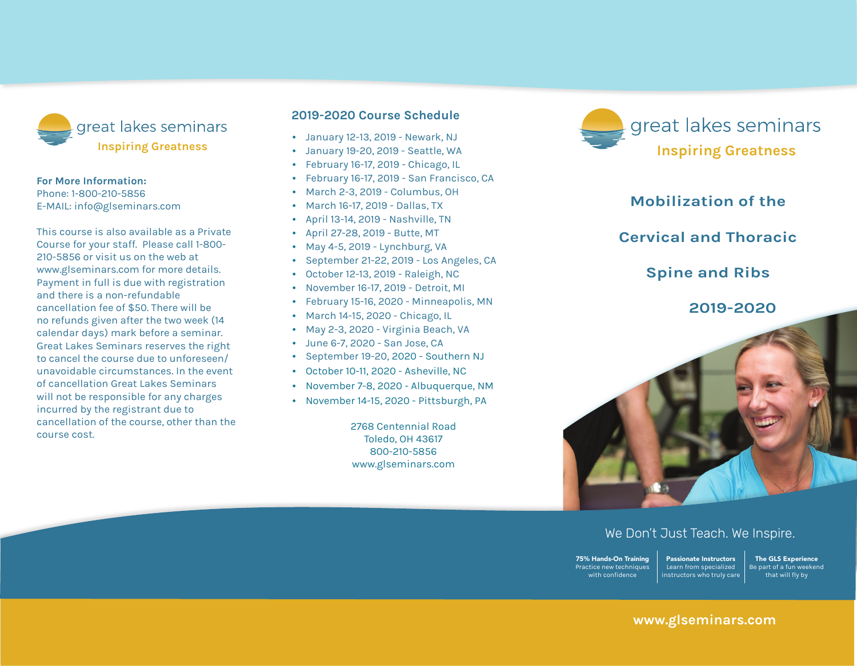

#### **For More Information:**

Phone: 1-800-210-5856 E-mail: info@glseminars.com

Payment in full is due with registration and there is a non-refundable cancellation fee of \$50. There will be no refunds given within two weeks (14 calendar days) of the seminar. Great Lakes Seminars reserves the right to cancel the course due to unforeseen/ unavoidable circumstances. In the event of a cancellation Great Lakes Seminars will not be responsible for any charges incurred by the registrant other than the course cost.

This course is also available as a private course for your staff. Please call 1-800-210-5856 or visit us on the web at www.glseminars.com for more details.

#### **2022 Course Schedule**

- January 15-16, 2022 Toms River, NJ
- February 19-20, 2022 Moorestown, PA
- March 19-20, 2022 Portland, OR
- April 2-3, 2022 Washington DC
- May 21-22, 2022 Live Hybrid
- August 20-21, 2022 Baltimore, MD
- October 8-9, 2022 Stoughton, WI
- November 5-6, 2022 Grand Rapids, MI

Please check our website for the most updated schedule: www.glseminars.com great lakes seminars **Become your best.**

## **Mobilization of the Cervical and Thoracic Spine and Ribs**

### **2022**



#### We Don't Just Teach. We Inspire.

75% Hands-On Training Practice new techniques with confidence Passionate Instructors Learn from specialized instructors who truly care

The GLS Experience Be part of a fun weekend that will fly by

#### **www.glseminars.com**